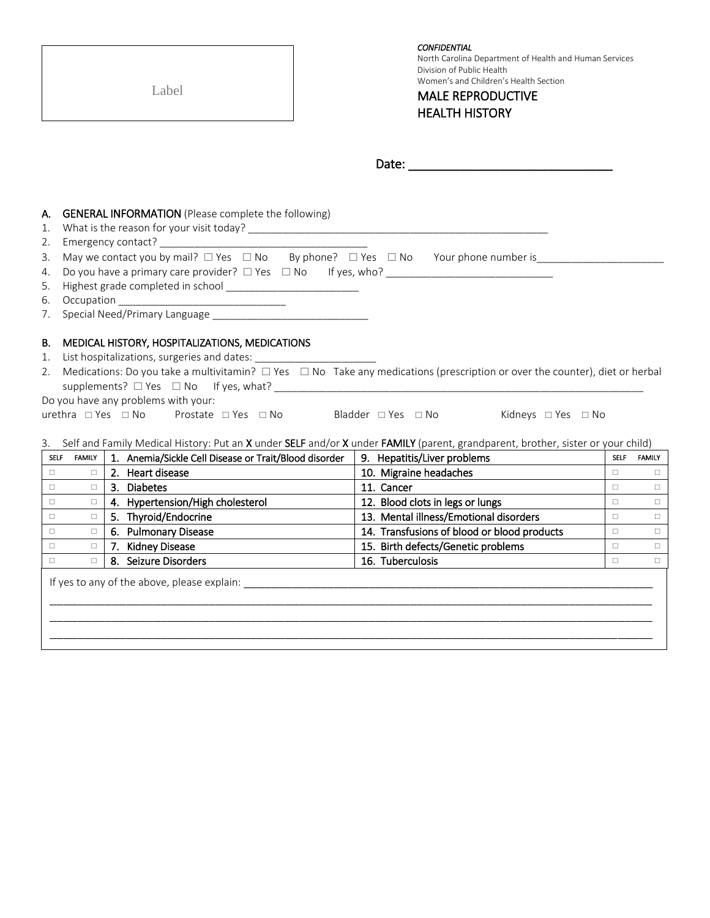|                                        | Label                                                                                                                                                                                                                                                                                       | <b>CONFIDENTIAL</b><br>North Carolina Department of Health and Human Services<br>Division of Public Health<br>Women's and Children's Health Section<br><b>MALE REPRODUCTIVE</b><br><b>HEALTH HISTORY</b> |                  |                       |
|----------------------------------------|---------------------------------------------------------------------------------------------------------------------------------------------------------------------------------------------------------------------------------------------------------------------------------------------|----------------------------------------------------------------------------------------------------------------------------------------------------------------------------------------------------------|------------------|-----------------------|
|                                        |                                                                                                                                                                                                                                                                                             |                                                                                                                                                                                                          |                  |                       |
| А.<br>1.<br>2.<br>3.<br>4.<br>5.<br>6. | <b>GENERAL INFORMATION</b> (Please complete the following)<br>May we contact you by mail? $\square$ Yes $\square$ No By phone? $\square$ Yes $\square$ No Your phone number is                                                                                                              |                                                                                                                                                                                                          |                  |                       |
| 7.<br>В.<br>1.<br>2.                   | MEDICAL HISTORY, HOSPITALIZATIONS, MEDICATIONS<br>Medications: Do you take a multivitamin? $\Box$ Yes $\Box$ No Take any medications (prescription or over the counter), diet or herbal<br>Do you have any problems with your:<br>urethra □ Yes □ No Prostate □ Yes □ No Bladder □ Yes □ No | Kidneys □ Yes □ No                                                                                                                                                                                       |                  |                       |
|                                        | 3. Self and Family Medical History: Put an X under SELF and/or X under FAMILY (parent, grandparent, brother, sister or your child)                                                                                                                                                          |                                                                                                                                                                                                          |                  |                       |
| $\Box$                                 | 1. Anemia/Sickle Cell Disease or Trait/Blood disorder<br>SELF FAMILY<br>2. Heart disease<br>$\Box$                                                                                                                                                                                          | 9. Hepatitis/Liver problems                                                                                                                                                                              | $\Box$           | SELF FAMILY<br>$\Box$ |
| $\Box$                                 | 3. Diabetes<br>$\Box$                                                                                                                                                                                                                                                                       | 10. Migraine headaches<br>11. Cancer                                                                                                                                                                     |                  | $\Box$                |
| $\Box$                                 | 4. Hypertension/High cholesterol<br>$\Box$                                                                                                                                                                                                                                                  | 12. Blood clots in legs or lungs                                                                                                                                                                         | $\Box$<br>$\Box$ | $\Box$                |
| $\Box$                                 | 5. Thyroid/Endocrine<br>$\Box$                                                                                                                                                                                                                                                              | 13. Mental illness/Emotional disorders                                                                                                                                                                   | $\Box$           | $\Box$                |
| $\Box$                                 | 6. Pulmonary Disease<br>$\Box$                                                                                                                                                                                                                                                              | 14. Transfusions of blood or blood products                                                                                                                                                              | $\Box$           | $\Box$                |
| $\Box$                                 | 7. Kidney Disease<br>$\Box$                                                                                                                                                                                                                                                                 | 15. Birth defects/Genetic problems                                                                                                                                                                       | $\Box$           | $\Box$                |
|                                        | 8.<br>Seizure Disorders<br>П.                                                                                                                                                                                                                                                               | 16. Tuberculosis                                                                                                                                                                                         | $\Box$           | П.                    |
|                                        | If yes to any of the above, please explain:                                                                                                                                                                                                                                                 |                                                                                                                                                                                                          |                  |                       |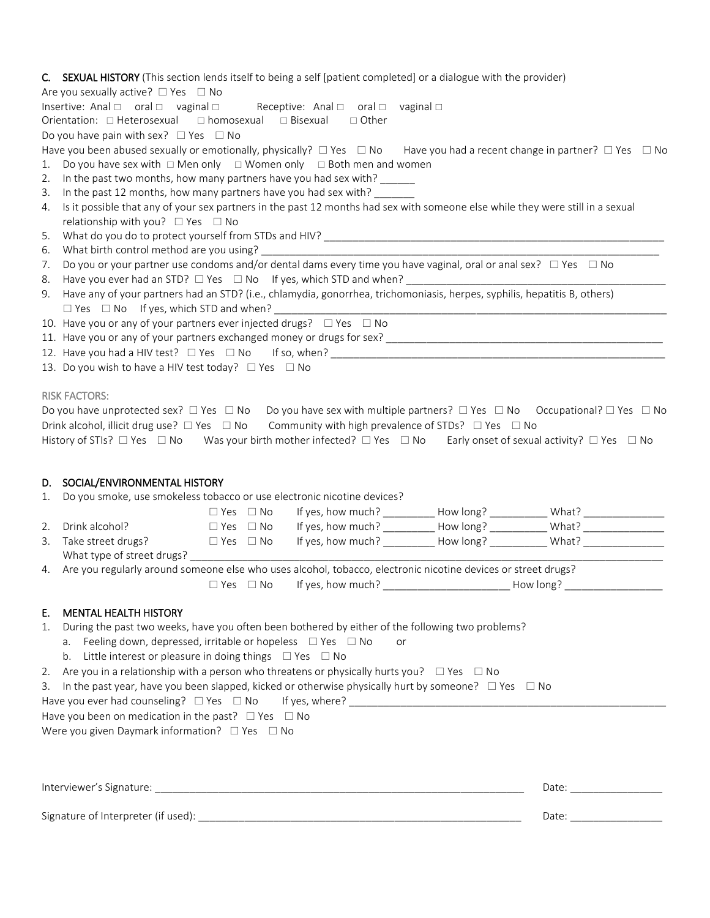### C. SEXUAL HISTORY (This section lends itself to being a self [patient completed] or a dialogue with the provider)

Are you sexually active?  $\Box$  Yes  $\Box$  No

| Insertive: Anal $\Box$ oral $\Box$ vaginal $\Box$                               |  | Receptive: Anal $\Box$ oral $\Box$ vaginal $\Box$ |  |  |
|---------------------------------------------------------------------------------|--|---------------------------------------------------|--|--|
| Orientation: $\Box$ Heterosexual $\Box$ homosexual $\Box$ Bisexual $\Box$ Other |  |                                                   |  |  |

Do you have pain with sex?  $\Box$  Yes  $\Box$  No

- Have you been abused sexually or emotionally, physically?  $\Box$  Yes  $\Box$  No Have you had a recent change in partner?  $\Box$  Yes  $\Box$  No
- 1. Do you have sex with  $\Box$  Men only  $\Box$  Women only  $\Box$  Both men and women
- 2. In the past two months, how many partners have you had sex with? \_\_\_\_\_\_\_\_\_\_\_\_
- 3. In the past 12 months, how many partners have you had sex with?
- 4. Is it possible that any of your sex partners in the past 12 months had sex with someone else while they were still in a sexual relationship with you?  $\Box$  Yes  $\Box$  No
- 5. What do you do to protect yourself from STDs and HIV? \_\_\_\_\_\_\_\_\_\_\_\_\_\_\_\_\_\_\_\_\_\_\_\_
- 6. What birth control method are you using?
- 7. Do you or your partner use condoms and/or dental dams every time you have vaginal, oral or anal sex?  $\Box$  Yes  $\Box$  No
- 8. Have you ever had an STD?  $\Box$  Yes  $\Box$  No If yes, which STD and when?
- 9. Have any of your partners had an STD? (i.e., chlamydia, gonorrhea, trichomoniasis, herpes, syphilis, hepatitis B, others)  $\Box$  Yes  $\Box$  No If yes, which STD and when?
- 10. Have you or any of your partners ever injected drugs?  $\Box$  Yes  $\Box$  No
- 11. Have you or any of your partners exchanged money or drugs for sex? \_\_\_\_\_\_\_\_\_\_\_\_\_\_\_\_\_\_\_\_\_\_\_\_\_\_\_\_\_\_\_\_\_\_\_\_\_\_\_\_\_\_\_\_\_\_\_\_
- 12. Have you had a HIV test?  $\Box$  Yes  $\Box$  No If so, when?
- 13. Do you wish to have a HIV test today?  $\Box$  Yes  $\Box$  No

### RISK FACTORS:

| Do you have unprotected sex? $\Box$ Yes $\Box$ No Do you have sex with multiple partners? $\Box$ Yes $\Box$ No Occupational? $\Box$ Yes $\Box$ No |  |                                                      |  |
|---------------------------------------------------------------------------------------------------------------------------------------------------|--|------------------------------------------------------|--|
| Drink alcohol, illicit drug use? $\Box$ Yes $\Box$ No Community with high prevalence of STDs? $\Box$ Yes $\Box$ No                                |  |                                                      |  |
| History of STIs? $\square$ Yes $\square$ No Was your birth mother infected? $\square$ Yes $\square$ No                                            |  | Early onset of sexual activity? $\Box$ Yes $\Box$ No |  |

## D. SOCIAL/ENVIRONMENTAL HISTORY

|  |  |  |  | Do vou smoke, use smokeless tobacco or use electronic nicotine devices? |  |
|--|--|--|--|-------------------------------------------------------------------------|--|
|--|--|--|--|-------------------------------------------------------------------------|--|

|    |                            | $\Box$ Yes $\Box$ No | If yes, how much? | How long? | What? |
|----|----------------------------|----------------------|-------------------|-----------|-------|
| 2. | Drink alcohol?             | $\Box$ Yes $\Box$ No | If yes, how much? | How long? | What? |
|    | 3. Take street drugs?      | $\Box$ Yes $\Box$ No | If yes, how much? | How long? | What? |
|    | What type of street drugs? |                      |                   |           |       |

4. Are you regularly around someone else who uses alcohol, tobacco, electronic nicotine devices or street drugs?

Yes No If yes, how much? \_\_\_\_\_\_\_\_\_\_\_\_\_\_\_\_\_\_\_\_\_\_ How long? \_\_\_\_\_\_\_\_\_\_\_\_\_\_\_\_\_

# E. MENTAL HEALTH HISTORY

- 1. During the past two weeks, have you often been bothered by either of the following two problems?
	- a. Feeling down, depressed, irritable or hopeless  $\Box$  Yes  $\Box$  No or
	- b. Little interest or pleasure in doing things  $\Box$  Yes  $\Box$  No
- 2. Are you in a relationship with a person who threatens or physically hurts you?  $\Box$  Yes  $\Box$  No
- 3. In the past year, have you been slapped, kicked or otherwise physically hurt by someone?  $\Box$  Yes  $\Box$  No
- Have you ever had counseling?  $\Box$  Yes  $\Box$  No If yes, where? \_\_\_\_\_\_\_\_\_\_\_\_\_\_\_\_\_\_\_

Have you been on medication in the past?  $\Box$  Yes  $\Box$  No

Were you given Daymark information?  $\Box$  Yes  $\Box$  No

| Interviewer's Signature:<br>Date             |  |
|----------------------------------------------|--|
| Signature of Interpreter (if used):<br>Date: |  |